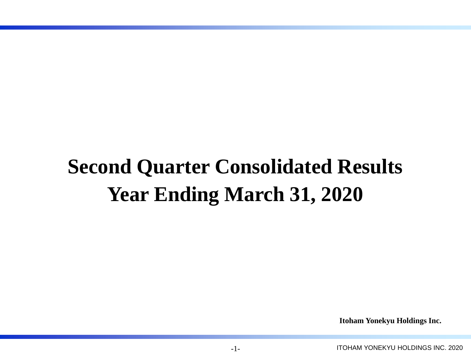# **Second Quarter Consolidated Results Year Ending March 31, 2020**

**Itoham Yonekyu Holdings Inc.**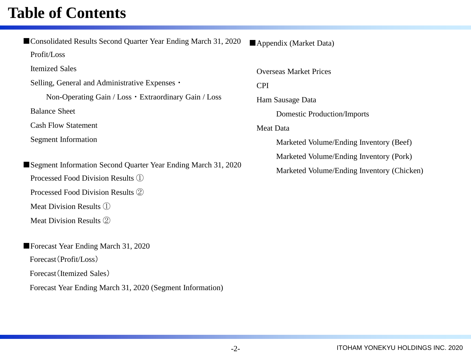### **Table of Contents**

■Consolidated Results Second Quarter Year Ending March 31, 2020 Profit/Loss Itemized Sales Selling, General and Administrative Expenses・ Non-Operating Gain / Loss・Extraordinary Gain / Loss Balance Sheet Cash Flow Statement Segment Information ■Segment Information Second Quarter Year Ending March 31, 2020 Processed Food Division Results ① Processed Food Division Results ② Meat Division Results ① Meat Division Results ② ■Forecast Year Ending March 31, 2020 Forecast(Profit/Loss)

Forecast(Itemized Sales)

Forecast Year Ending March 31, 2020 (Segment Information)

■Appendix (Market Data)

Overseas Market Prices

CPI

Ham Sausage Data

Domestic Production/Imports

Meat Data

Marketed Volume/Ending Inventory (Beef)

Marketed Volume/Ending Inventory (Pork)

Marketed Volume/Ending Inventory (Chicken)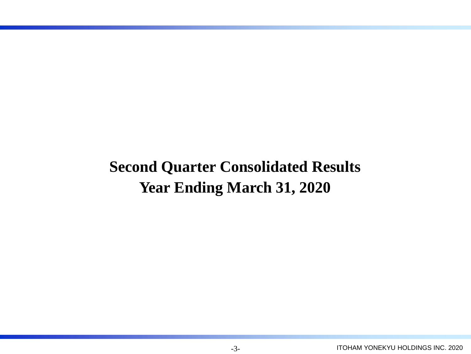## **Second Quarter Consolidated Results Year Ending March 31, 2020**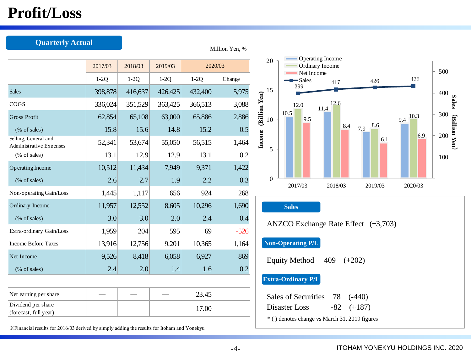### **Profit/Loss**

| <b>Quarterly Actual</b>                                |         |         |         | Million Yen, % |        |
|--------------------------------------------------------|---------|---------|---------|----------------|--------|
|                                                        | 2017/03 | 2018/03 | 2019/03 | 2020/03        |        |
|                                                        | $1-2Q$  | $1-2Q$  | $1-2Q$  | $1-2Q$         | Change |
| <b>Sales</b>                                           | 398,878 | 416,637 | 426,425 | 432,400        | 5,975  |
| COGS                                                   | 336,024 | 351,529 | 363,425 | 366,513        | 3,088  |
| <b>Gross Profit</b>                                    | 62,854  | 65,108  | 63,000  | 65,886         | 2,886  |
| (% of sales)                                           | 15.8    | 15.6    | 14.8    | 15.2           | 0.5    |
| Selling, General and<br><b>Administrative Expenses</b> | 52,341  | 53,674  | 55,050  | 56,515         | 1,464  |
| $(\%$ of sales)                                        | 13.1    | 12.9    | 12.9    | 13.1           | 0.2    |
| <b>Operating Income</b>                                | 10,512  | 11,434  | 7,949   | 9,371          | 1,422  |
| (% of sales)                                           | 2.6     | 2.7     | 1.9     | 2.2            | 0.3    |
| Non-operating Gain/Loss                                | 1,445   | 1,117   | 656     | 924            | 268    |
| Ordinary Income                                        | 11,957  | 12,552  | 8,605   | 10,296         | 1,690  |
| (% of sales)                                           | 3.0     | 3.0     | 2.0     | 2.4            | 0.4    |
| Extra-ordinary Gain/Loss                               | 1,959   | 204     | 595     | 69             | $-526$ |
| <b>Income Before Taxes</b>                             | 13,916  | 12,756  | 9,201   | 10,365         | 1,164  |
| Net Income                                             | 9,526   | 8,418   | 6,058   | 6,927          | 869    |
| (% of sales)                                           | 2.4     | 2.0     | 1.4     | 1.6            | 0.2    |
|                                                        |         |         |         |                |        |
| Net earning per share                                  |         |         |         | 23.45          |        |
| Dividend per share<br>(forecast, full year)            |         |         |         | 17.00          |        |



#### **Sales**

ANZCO Exchange Rate Effect  $(-3,703)$ 

#### **Non-Operating P/L**

Equity Method 409 (+202)

#### **Extra-Ordinary P/L**

| Sales of Securities 78 (-440)                 |                |
|-----------------------------------------------|----------------|
| Disaster Loss                                 | $-82$ $(+187)$ |
| * () denotes change vs March 31, 2019 figures |                |

※Financial results for 2016/03 derived by simply adding the results for Itoham and Yonekyu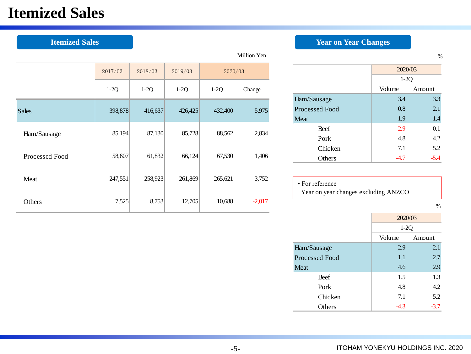### **Itemized Sales**

|                |         |         |         |         | Million Yen |                                      |         | $\%$   |
|----------------|---------|---------|---------|---------|-------------|--------------------------------------|---------|--------|
|                | 2017/03 | 2018/03 | 2019/03 | 2020/03 |             |                                      | 2020/03 |        |
|                |         |         |         |         |             |                                      | $1-2Q$  |        |
|                | $1-2Q$  | $1-2Q$  | $1-2Q$  | $1-2Q$  | Change      |                                      | Volume  | Amount |
|                |         |         |         |         |             | Ham/Sausage                          | 3.4     | 3.3    |
| <b>Sales</b>   | 398,878 | 416,637 | 426,425 | 432,400 | 5,975       | Processed Food                       | 0.8     | 2.1    |
|                |         |         |         |         |             | Meat                                 | 1.9     | 1.4    |
| Ham/Sausage    | 85,194  | 87,130  | 85,728  | 88,562  | 2,834       | Beef                                 | $-2.9$  | 0.1    |
|                |         |         |         |         |             | Pork                                 | 4.8     | 4.2    |
|                |         |         |         |         |             | Chicken                              | 7.1     | 5.2    |
| Processed Food | 58,607  | 61,832  | 66,124  | 67,530  | 1,406       | Others                               | $-4.7$  | $-5.4$ |
|                |         |         |         |         |             |                                      |         |        |
| Meat           | 247,551 | 258,923 | 261,869 | 265,621 | 3,752       | • For reference                      |         |        |
|                |         |         |         |         |             | Year on year changes excluding ANZCO |         |        |
| Others         | 7,525   | 8,753   | 12,705  | 10,688  | $-2,017$    |                                      |         |        |
|                |         |         |         |         |             |                                      |         | $\%$   |

### **Itemized Sales** *Year on Year Changes*

|                       | 2020/03 |        |  |  |
|-----------------------|---------|--------|--|--|
|                       | $1-2Q$  |        |  |  |
|                       | Volume  | Amount |  |  |
| Ham/Sausage           | 3.4     | 3.3    |  |  |
| <b>Processed Food</b> | 0.8     | 2.1    |  |  |
| Meat                  | 1.9     | 1.4    |  |  |
| Beef                  | $-2.9$  | 0.1    |  |  |
| Pork                  | 4.8     | 4.2    |  |  |
| Chicken               | 7.1     | 5.2    |  |  |
| Others                | $-4.7$  | $-5.4$ |  |  |

| $\bullet$ For reference              |  |
|--------------------------------------|--|
| Year on year changes excluding ANZCO |  |

|                | 2020/03 |        |
|----------------|---------|--------|
|                | $1-2Q$  |        |
|                | Volume  | Amount |
| Ham/Sausage    | 2.9     | 2.1    |
| Processed Food | 1.1     | 2.7    |
| <b>Meat</b>    | 4.6     | 2.9    |
| <b>Beef</b>    | 1.5     | 1.3    |
| Pork           | 4.8     | 4.2    |
| <b>Chicken</b> | 7.1     | 5.2    |
| Others         | $-4.3$  | $-3.7$ |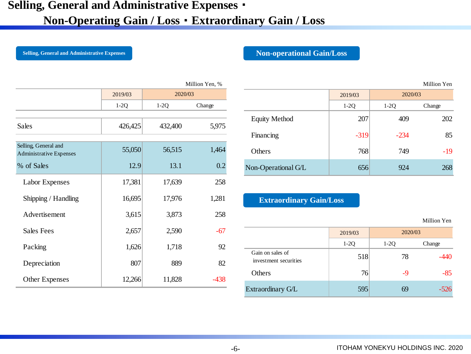### **Selling, General and Administrative Expenses**・

### **Non-Operating Gain / Loss**・**Extraordinary Gain / Loss**

Million Yen, %

**Selling, General and Administrative Expenses Non-operational Gain/Loss** 

Million Yen

|                                                        |         |         | Million Yen, % |
|--------------------------------------------------------|---------|---------|----------------|
|                                                        | 2019/03 | 2020/03 |                |
|                                                        | $1-2Q$  | $1-2Q$  | Change         |
| Sales                                                  | 426,425 | 432,400 | 5,975          |
| Selling, General and<br><b>Administrative Expenses</b> | 55,050  | 56,515  | 1,464          |
| % of Sales                                             | 12.9    | 13.1    | 0.2            |
| Labor Expenses                                         | 17,381  | 17,639  | 258            |
| Shipping / Handling                                    | 16,695  | 17,976  | 1,281          |
| Advertisement                                          | 3,615   | 3,873   | 258            |
| <b>Sales Fees</b>                                      | 2,657   | 2,590   | -67            |
| Packing                                                | 1,626   | 1,718   | 92             |
| Depreciation                                           | 807     | 889     | 82             |
| <b>Other Expenses</b>                                  | 12,266  | 11,828  | $-438$         |

|          | $VIIIIII$ $VII$ , $VII$ |                      |         |         | TATHIOIL LAT |
|----------|-------------------------|----------------------|---------|---------|--------------|
| 2020/03  |                         |                      | 2019/03 | 2020/03 |              |
|          | Change                  |                      | $1-2Q$  | $1-2Q$  | Change       |
| $\omega$ | 5,975                   | <b>Equity Method</b> | 207     | 409     | 202          |
|          |                         | Financing            | $-319$  | $-234$  | 85           |
| 15       | 1,464                   | Others               | 768     | 749     | $-19$        |
| 3.1      | 0.2                     | Non-Operational G/L  | 656     | 924     | 268          |

#### **Extraordinary Gain/Loss**

Million Yen

|                                           | 2019/03 |        | 2020/03 |
|-------------------------------------------|---------|--------|---------|
|                                           | $1-2Q$  | $1-2Q$ | Change  |
| Gain on sales of<br>investment securities | 518     | 78     | -440    |
| Others                                    | 76      | -9     | -85     |
| Extraordinary G/L                         | 595     |        | $-526$  |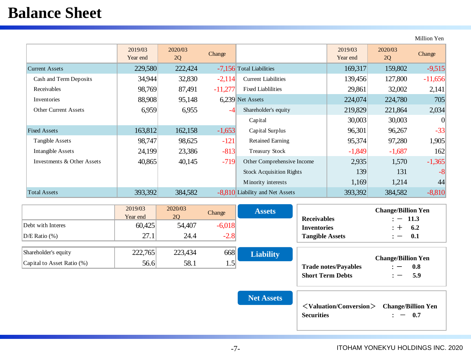### **Balance Sheet**

Million Yen

|                             | 2019/03<br>Year end | 2020/03<br>2Q | Change    |                                 | 2019/03<br>Year end | 2020/03<br>2Q | Change    |
|-----------------------------|---------------------|---------------|-----------|---------------------------------|---------------------|---------------|-----------|
| <b>Current Assets</b>       | 229,580             | 222,424       |           | -7,156 Total Liabilities        | 169,317             | 159,802       | $-9,515$  |
| Cash and Term Deposits      | 34,944              | 32,830        | $-2,114$  | <b>Current Liabilities</b>      | 139,456             | 127,800       | $-11,656$ |
| Receivables                 | 98,769              | 87,491        | $-11,277$ | <b>Fixed Liablilities</b>       | 29,861              | 32,002        | 2,141     |
| Inventories                 | 88,908              | 95,148        |           | 6.239 Net Assets                | 224,074             | 224,780       | 705       |
| <b>Other Current Assets</b> | 6,959               | 6,955         | -4        | Shareholder's equity            | 219,829             | 221,864       | 2,034     |
|                             |                     |               |           | Capital                         | 30,003              | 30,003        | $\Omega$  |
| <b>Fixed Assets</b>         | 163,812             | 162,158       | $-1,653$  | Capital Surplus                 | 96,301              | 96,267        | $-33$     |
| Tangible Assets             | 98,747              | 98,625        | $-121$    | <b>Retained Earning</b>         | 95,374              | 97,280        | 1,905     |
| Intangible Assets           | 24,199              | 23,386        | $-813$    | <b>Treasury Stock</b>           | $-1,849$            | $-1,687$      | 162       |
| Investments & Other Assets  | 40,865              | 40,145        | $-719$    | Other Comprehensive Income      | 2,935               | 1,570         | $-1,365$  |
|                             |                     |               |           | <b>Stock Acquisition Rights</b> | 139                 | 131           | $-8$      |
|                             |                     |               |           | Minority interests              | 1,169               | 1,214         | 44        |
| <b>Total Assets</b>         | 393,392             | 384,582       |           | -8,810 Liability and Net Assets | 393,392             | 384,582       | $-8,810$  |

|                            | 2019/03<br>Year end | 2020/03<br><b>20</b> | Change        | <b>Assets</b>    | <b>Receivables</b>          | <b>Change/Billion Yen</b><br>$: -11.3$                       |
|----------------------------|---------------------|----------------------|---------------|------------------|-----------------------------|--------------------------------------------------------------|
| Debt with Interes          | 60,425              | 54,407               | $-6,018$      |                  | <b>Inventories</b>          | 6.2<br>: +                                                   |
| $D/E$ Ratio $(\%)$         | 27.1                | 24.4                 | $-2.8$        |                  | <b>Tangible Assets</b>      | 0.1<br>—                                                     |
| Shareholder's equity       | 222,765             | 223,434              | 668           | <b>Liability</b> |                             |                                                              |
| Capital to Asset Ratio (%) | 56.6                | 58.1                 | $1.5^{\circ}$ |                  | <b>Trade notes/Payables</b> | <b>Change/Billion Yen</b><br>0.8<br>$\overline{\phantom{m}}$ |
|                            |                     |                      |               |                  | <b>Short Term Debts</b>     | 5.9                                                          |

**Net Assets**

| <valuation conversion=""> Change/Billion Yen</valuation> |          |
|----------------------------------------------------------|----------|
| <b>Securities</b>                                        | $: -0.7$ |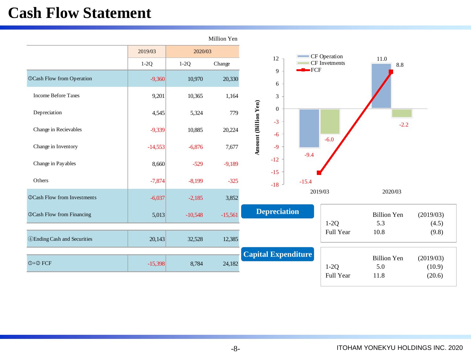### **Cash Flow Statement**

|                                     |           |           | Million Yen |                                     |                         |                           |                     |
|-------------------------------------|-----------|-----------|-------------|-------------------------------------|-------------------------|---------------------------|---------------------|
|                                     | 2019/03   | 2020/03   |             |                                     | CF Operation            |                           |                     |
|                                     | $1-2Q$    | $1-2Q$    | Change      | $12\,$                              | CF Invetments<br>$-FCF$ | 11.0<br>8.8               |                     |
| <b>OCash Flow from Operation</b>    | $-9,360$  | 10,970    | 20,330      | 9<br>6                              |                         |                           |                     |
| <b>Income Before Taxes</b>          | 9,201     | 10,365    | 1,164       | $\ensuremath{\mathfrak{Z}}$         |                         |                           |                     |
| Depreciation                        | 4,545     | 5,324     | 779         | $\mathbf{0}$<br>$-3$                |                         |                           |                     |
| Change in Recievables               | $-9,339$  | 10,885    | 20,224      | <b>Amount (Billion Yen)</b><br>$-6$ | $-6.0$                  | $-2.2$                    |                     |
| Change in Inventory                 | $-14,553$ | $-6,876$  | 7,677       | $-9$                                | $-9.4$                  |                           |                     |
| Change in Payables                  | 8,660     | $-529$    | $-9,189$    | $-12$<br>$-15$                      |                         |                           |                     |
| Others                              | $-7,874$  | $-8,199$  | $-325$      | $-18$                               | $-15.4$                 |                           |                     |
| @Cash Flow from Investments         | $-6,037$  | $-2,185$  | 3,852       |                                     | 2019/03                 | 2020/03                   |                     |
| <b>@Cash Flow from Financing</b>    | 5,013     | $-10,548$ | $-15,561$   | <b>Depreciation</b>                 |                         | <b>Billion Yen</b>        | (2019/03)           |
|                                     |           |           |             |                                     | $1-2Q$<br>Full Year     | 5.3<br>10.8               | (4.5)<br>(9.8)      |
| <b>4</b> Ending Cash and Securities | 20,143    | 32,528    | 12,385      |                                     |                         |                           |                     |
| $①+②$ FCF                           | $-15,398$ | 8,784     | 24,182      | <b>Capital Expenditure</b>          | $1-2Q$                  | <b>Billion Yen</b><br>5.0 | (2019/03)<br>(10.9) |
|                                     |           |           |             |                                     | Full Year               | 11.8                      | (20.6)              |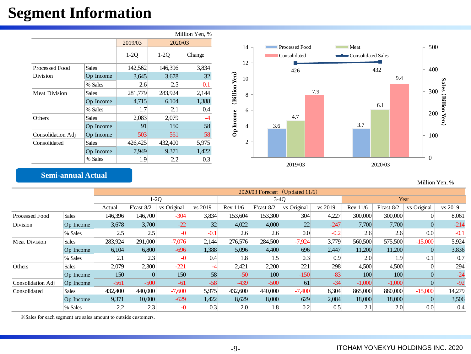### **Segment Information**

|                       |              |         |         | Million Yen, % |
|-----------------------|--------------|---------|---------|----------------|
|                       |              | 2019/03 | 2020/03 |                |
|                       |              | $1-20$  | $1-2O$  | Change         |
| <b>Processed Food</b> | Sales        | 142,562 | 146,396 | 3,834          |
| Division              | Op Income    | 3,645   | 3,678   | 32             |
|                       | % Sales      | 2.6     | 2.5     | $-0.1$         |
| <b>Meat Division</b>  | <b>Sales</b> | 281,779 | 283,924 | 2,144          |
|                       | Op Income    | 4,715   | 6,104   | 1,388          |
|                       | % Sales      | 1.7     | 2.1     | 0.4            |
| Others                | <b>Sales</b> | 2,083   | 2,079   | -4             |
|                       | Op Income    | 91      | 150     | 58             |
| Consolidation Adj     | Op Income    | $-503$  | $-561$  | $-58$          |
| Consolidated          | Sales        | 426,425 | 432,400 | 5,975          |
|                       | Op Income    | 7,949   | 9.371   | 1,422          |
|                       | % Sales      | 1.9     | 2.2     | 0.3            |



### **Semi-annual Actual**

Million Yen, %

|                   |              |         | $2020/03$ Forecast (Updated 11/6) |             |         |            |              |             |         |            |              |             |         |  |
|-------------------|--------------|---------|-----------------------------------|-------------|---------|------------|--------------|-------------|---------|------------|--------------|-------------|---------|--|
|                   |              |         |                                   | $1-2Q$      |         |            | $3-40$       |             |         | Year       |              |             |         |  |
|                   |              | Actual  | F'cast 8/2                        | vs Original | vs 2019 | Rev $11/6$ | F'cast $8/2$ | vs Original | vs 2019 | Rev $11/6$ | F'cast $8/2$ | vs Original | vs 2019 |  |
| Processed Food    | <b>Sales</b> | 146,396 | 146,700                           | $-304$      | 3,834   | 153,604    | 153,300      | 304         | 4,227   | 300,000    | 300,000      | $\Omega$    | 8,061   |  |
| Division          | Op Income    | 3,678   | 3,700                             | $-22$       | 32      | 4,022      | 4,000        | 22          | $-247$  | 7,700      | 7,700        |             | $-214$  |  |
|                   | % Sales      | 2.5     | 2.5                               | $-0$        | $-0.1$  | 2.6        | 2.6          | 0.0         | $-0.2$  | 2.6        | 2.6          | 0.0         | $-0.1$  |  |
| Meat Division     | Sales        | 283,924 | 291,000                           | $-7,076$    | 2,144   | 276,576    | 284,500      | $-7,924$    | 3,779   | 560,500    | 575,500      | $-15,000$   | 5,924   |  |
|                   | Op Income    | 6,104   | 6,800                             | $-696$      | 1,388   | 5,096      | 4,400        | 696         | 2,447   | 11,200     | 11,200       | $\theta$    | 3,836   |  |
|                   | % Sales      | 2.1     | 2.3                               | $-0$        | 0.4     | 1.8        | 1.5          | 0.3         | 0.9     | 2.0        | 1.9          | 0.1         | 0.7     |  |
| Others            | <b>Sales</b> | 2,079   | 2,300                             | $-221$      | -4      | 2,421      | 2,200        | 221         | 298     | 4,500      | 4,500        |             | 294     |  |
|                   | Op Income    | 150     | $\left  \right $                  | 150         | 58      | $-50$      | 100          | $-150$      | $-83$   | 100        | 100          |             | $-24$   |  |
| Consolidation Adj | Op Income    | $-561$  | $-500$                            | $-61$       | $-58$   | $-439$     | $-500$       | 61          | $-34$   | $-1,000$   | $-1,000$     |             | $-92$   |  |
| Consolidated      | <b>Sales</b> | 432,400 | 440,000                           | $-7,600$    | 5,975   | 432,600    | 440,000      | $-7,400$    | 8,304   | 865,000    | 880,000      | $-15,000$   | 14,279  |  |
|                   | Op Income    | 9,371   | 10,000                            | $-629$      | 1,422   | 8,629      | 8,000        | 629         | 2,084   | 18,000     | 18,000       |             | 3,506   |  |
|                   | % Sales      | 2.2     | 2.3                               | -0          | 0.3     | 2.0        | 1.8          | 0.2         | 0.5     | 2.1        | 2.0          | 0.0         | 0.4     |  |

※Sales for each segment are sales amount to outside customers.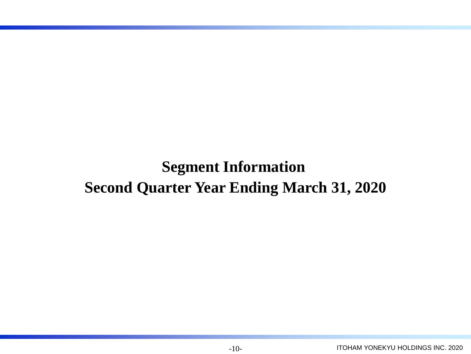**Segment Information Second Quarter Year Ending March 31, 2020**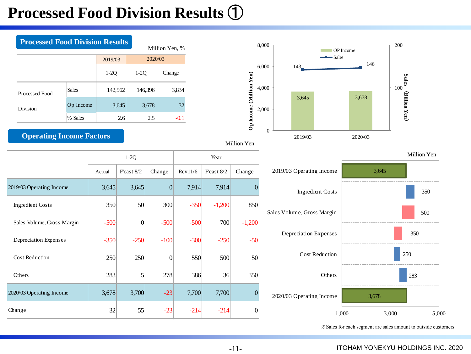## **Processed Food Division Results** ①





Million Yen

|                            |        | $1-2Q$           |                |         |              |                |
|----------------------------|--------|------------------|----------------|---------|--------------|----------------|
|                            | Actual | F'cast $8/2$     | Change         | Rev11/6 | F'cast $8/2$ | Change         |
| 2019/03 Operating Income   | 3,645  | 3,645            | $\overline{0}$ | 7,914   | 7,914        | $\overline{0}$ |
| <b>Ingredient Costs</b>    | 350    | $50$             | 300            | $-350$  | $-1,200$     | 850            |
| Sales Volume, Gross Margin | $-500$ | $\boldsymbol{0}$ | $-500$         | $-500$  | 700          | $-1,200$       |
| Depreciation Expenses      | $-350$ | $-250$           | $-100$         | $-300$  | $-250$       | $-50$          |
| <b>Cost Reduction</b>      | 250    | 250              | $\mathbf{0}$   | 550     | 500          | 50             |
| Others                     | 283    | 5                | 278            | 386     | 36           | 350            |
| 2020/03 Operating Income   | 3,678  | 3,700            | $-23$          | 7,700   | 7,700        | $\overline{0}$ |
| Change                     | 32     | 55               | $-23$          | $-214$  | $-214$       | $\overline{0}$ |
|                            |        |                  |                |         |              |                |



※Sales for each segment are sales amount to outside customers

-11-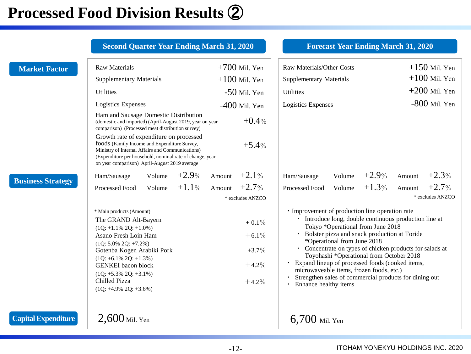## **Processed Food Division Results** ②

|                            | <b>Second Quarter Year Ending March 31, 2020</b>                                                                                                                                                                                                                                                                                                                                                                                                                                                                      |                                                                                                                    | <b>Forecast Year Ending March 31, 2020</b>                                                                                                                                                                                                                                                                                                                                                                                                                                                                                                                                                |                                                                                     |
|----------------------------|-----------------------------------------------------------------------------------------------------------------------------------------------------------------------------------------------------------------------------------------------------------------------------------------------------------------------------------------------------------------------------------------------------------------------------------------------------------------------------------------------------------------------|--------------------------------------------------------------------------------------------------------------------|-------------------------------------------------------------------------------------------------------------------------------------------------------------------------------------------------------------------------------------------------------------------------------------------------------------------------------------------------------------------------------------------------------------------------------------------------------------------------------------------------------------------------------------------------------------------------------------------|-------------------------------------------------------------------------------------|
| <b>Market Factor</b>       | <b>Raw Materials</b><br><b>Supplementary Materials</b><br><b>Utilities</b><br>Logistics Expenses<br>Ham and Sausage Domestic Distribution<br>(domestic and imported) (April-August 2019, year on year<br>comparison) (Processed meat distribution survey)<br>Growth rate of expenditure on processed<br>foods (Family Income and Expenditure Survey,<br>Ministry of Internal Affairs and Communications)<br>(Expenditure per household, nominal rate of change, year<br>on year comparison) April-August 2019 average | $+700$ Mil. Yen<br>$+100$ Mil. Yen<br>$-50$ Mil. Yen<br>$-400$ Mil. Yen<br>$+0.4%$<br>$+5.4%$                      | Raw Materials/Other Costs<br><b>Supplementary Materials</b><br><b>Utilities</b><br>Logistics Expenses<br>$+2.9\%$                                                                                                                                                                                                                                                                                                                                                                                                                                                                         | $+150$ Mil. Yen<br>$+100$ Mil. Yen<br>$+200$ Mil. Yen<br>$-800$ Mil. Yen<br>$+2.3%$ |
| <b>Business Strategy</b>   | $+2.9\%$<br>Volume<br>Ham/Sausage<br>$+1.1\%$<br>Volume<br>Processed Food<br>* Main products (Amount)<br>The GRAND Alt-Bayern<br>$(1Q: +1.1\% 2Q: +1.0\%)$<br>Asano Fresh Loin Ham<br>$(1Q: 5.0\% 2Q: +7.2\%)$<br>Gotenba Kogen Arabiki Pork<br>$(1Q: +6.1\% 2Q: +1.3\%)$<br><b>GENKEI</b> bacon block<br>$(1Q: +5.3\% 2Q: +3.1\%)$<br>Chilled Pizza<br>$(1Q: +4.9\% 2Q: +3.6\%)$                                                                                                                                     | Amount $+2.1\%$<br>$+2.7%$<br>Amount<br>* excludes ANZCO<br>$+0.1\%$<br>$+6.1\%$<br>$+3.7\%$<br>$+4.2%$<br>$+4.2%$ | Volume<br>Ham/Sausage<br>$+1.3%$<br>Volume<br>Processed Food<br>· Improvement of production line operation rate<br>• Introduce long, double continuous production line at<br>Tokyo *Operational from June 2018<br>Bolster pizza and snack production at Toride<br>*Operational from June 2018<br>• Concentrate on types of chicken products for salads at<br>Toyohashi *Operational from October 2018<br>· Expand lineup of processed foods (cooked items,<br>microwaveable items, frozen foods, etc.)<br>Strengthen sales of commercial products for dining out<br>Enhance healthy items | Amount<br>$+2.7%$<br>Amount<br>* excludes ANZCO                                     |
| <b>Capital Expenditure</b> | $2,600$ Mil. Yen                                                                                                                                                                                                                                                                                                                                                                                                                                                                                                      |                                                                                                                    | $6,700$ Mil. Yen                                                                                                                                                                                                                                                                                                                                                                                                                                                                                                                                                                          |                                                                                     |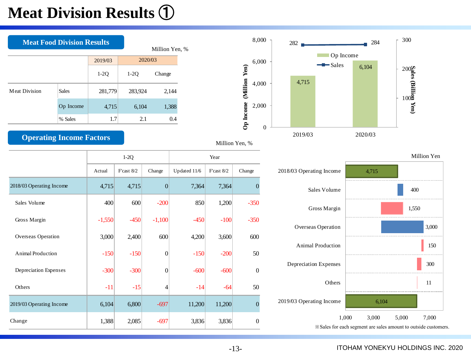## **Meat Division Results** ①

|                      | <b>Meat Food Division Results</b> |         |         |        |  |  |  |  |
|----------------------|-----------------------------------|---------|---------|--------|--|--|--|--|
|                      |                                   | 2019/03 | 2020/03 |        |  |  |  |  |
|                      |                                   | $1-2Q$  | $1-2Q$  | Change |  |  |  |  |
| <b>Meat Division</b> | <b>Sales</b>                      | 281,779 | 283,924 | 2,144  |  |  |  |  |
|                      | Op Income                         | 4,715   | 6,104   | 1,388  |  |  |  |  |
|                      | % Sales                           | 1.7     | 2.1     | 0.4    |  |  |  |  |

### **Operating Income Factors**





|                          |          | $1-2Q$          |                | Year         |                 |                  |  |  |
|--------------------------|----------|-----------------|----------------|--------------|-----------------|------------------|--|--|
|                          | Actual   | $F$ 'cast $8/2$ | Change         | Updated 11/6 | $F$ 'cast $8/2$ | Change           |  |  |
| 2018/03 Operating Income | 4,715    | 4,715           | $\overline{0}$ | 7,364        | 7,364           | $\mathbf{0}$     |  |  |
| Sales Volume             | 400      | 600             | $-200$         | 850          | 1,200           | $-350$           |  |  |
| Gross Margin             | $-1,550$ | $-450$          | $-1,100$       | $-450$       | $-100$          | $-350$           |  |  |
| Overseas Operation       | 3,000    | 2,400           | 600            | 4,200        | 3,600           | 600              |  |  |
| <b>Animal Production</b> | $-150$   | $-150$          | $\overline{0}$ | $-150$       | $-200$          | 50               |  |  |
| Depreciation Expenses    | $-300$   | $-300$          | $\overline{0}$ | $-600$       | $-600$          | $\boldsymbol{0}$ |  |  |
| Others                   | $-11$    | $-15$           | 4              | $-14$        | $-64$           | 50               |  |  |
| 2019/03 Operating Income | 6,104    | 6,800           | $-697$         | 11,200       | 11,200          | $\overline{0}$   |  |  |
| Change                   | 1,388    | 2,085           | $-697$         | 3,836        | 3,836           | $\boldsymbol{0}$ |  |  |





#### ITOHAM YONEKYU HOLDINGS INC. 2020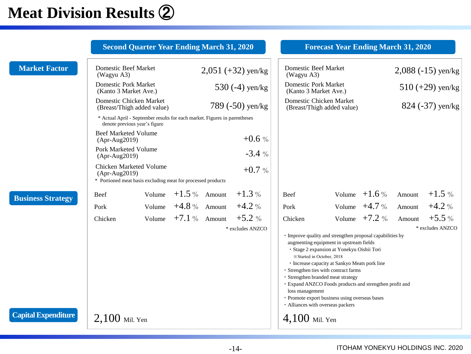## **Meat Division Results** ②

|                            | <b>Second Quarter Year Ending March 31, 2020</b>                                                            |        |                                 |                      |                                                                                                                                                                                                                                                                                                                                                                                                                                                                                      | <b>Forecast Year Ending March 31, 2020</b> |        |                             |
|----------------------------|-------------------------------------------------------------------------------------------------------------|--------|---------------------------------|----------------------|--------------------------------------------------------------------------------------------------------------------------------------------------------------------------------------------------------------------------------------------------------------------------------------------------------------------------------------------------------------------------------------------------------------------------------------------------------------------------------------|--------------------------------------------|--------|-----------------------------|
| <b>Market Factor</b>       | Domestic Beef Market<br>(Wagyu A3)                                                                          |        |                                 | $2,051 (+32)$ yen/kg | Domestic Beef Market<br>(Wagyu A3)                                                                                                                                                                                                                                                                                                                                                                                                                                                   |                                            |        | $2,088$ (-15) yen/kg        |
|                            | <b>Domestic Pork Market</b><br>(Kanto 3 Market Ave.)                                                        |        |                                 | 530 $(-4)$ yen/kg    | <b>Domestic Pork Market</b><br>(Kanto 3 Market Ave.)                                                                                                                                                                                                                                                                                                                                                                                                                                 |                                            |        | $510 (+29)$ yen/kg          |
|                            | Domestic Chicken Market<br>(Breast/Thigh added value)                                                       |        |                                 | 789 (-50) yen/kg     | Domestic Chicken Market<br>(Breast/Thigh added value)                                                                                                                                                                                                                                                                                                                                                                                                                                |                                            |        | 824 (-37) yen/kg            |
|                            | * Actual April - September results for each market. Figures in parentheses<br>denote previous year's figure |        |                                 |                      |                                                                                                                                                                                                                                                                                                                                                                                                                                                                                      |                                            |        |                             |
|                            | <b>Beef Marketed Volume</b><br>$(Apr-Aug2019)$                                                              |        |                                 | $+0.6%$              |                                                                                                                                                                                                                                                                                                                                                                                                                                                                                      |                                            |        |                             |
|                            | Pork Marketed Volume<br>$(Apr-Aug2019)$                                                                     |        |                                 | $-3.4%$              |                                                                                                                                                                                                                                                                                                                                                                                                                                                                                      |                                            |        |                             |
|                            | Chicken Marketed Volume<br>$(Apr-Aug2019)$<br>* Portioned meat basis excluding meat for processed products  |        |                                 | $+0.7%$              |                                                                                                                                                                                                                                                                                                                                                                                                                                                                                      |                                            |        |                             |
| <b>Business Strategy</b>   | Beef                                                                                                        | Volume | $+1.5\%$ Amount                 | $+1.3%$              | Beef                                                                                                                                                                                                                                                                                                                                                                                                                                                                                 | Volume $+1.6\%$                            | Amount | $+1.5%$                     |
|                            | Pork                                                                                                        |        | Volume $+4.8\%$ Amount          | $+4.2%$              | Pork                                                                                                                                                                                                                                                                                                                                                                                                                                                                                 | Volume $+4.7\%$                            | Amount | $+4.2%$                     |
|                            | Chicken                                                                                                     |        | Volume $+7.1\%$ Amount $+5.2\%$ | * excludes ANZCO     | Chicken                                                                                                                                                                                                                                                                                                                                                                                                                                                                              | Volume $+7.2\%$                            | Amount | $+5.5%$<br>* excludes ANZCO |
|                            |                                                                                                             |        |                                 |                      | · Improve quality and strengthen proposal capabilities by<br>augmenting equipment in upstream fields<br>· Stage 2 expansion at Yonekyu Oishii Tori<br>*Started in October, 2018<br>• Increase capacity at Sankyo Meats pork line<br>· Strengthen ties with contract farms<br>· Strengthen branded meat strategy<br>· Expand ANZCO Foods products and strengthen profit and<br>loss management<br>· Promote export business using overseas bases<br>· Alliances with overseas packers |                                            |        |                             |
| <b>Capital Expenditure</b> | $2,100$ Mil. Yen                                                                                            |        |                                 |                      | $4,100$ Mil. Yen                                                                                                                                                                                                                                                                                                                                                                                                                                                                     |                                            |        |                             |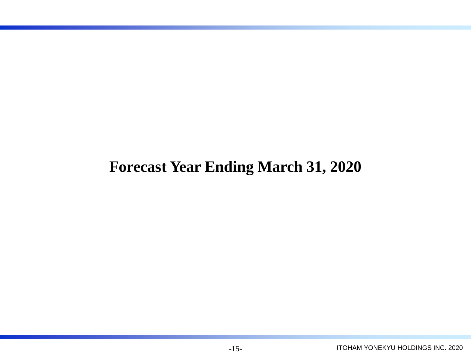### **Forecast Year Ending March 31, 2020**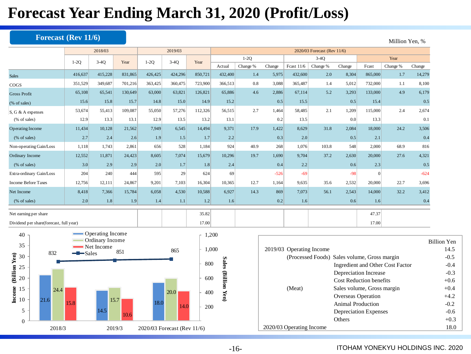### **Forecast Year Ending March 31, 2020 (Profit/Loss)**

### **Forecast (Rev 11/6)** Million Yen, %

|                                           |         | 2018/03 |         |         | 2019/03 |         |         | 2020/03 Forecast (Rev 11/6) |        |              |          |        |          |          |        |
|-------------------------------------------|---------|---------|---------|---------|---------|---------|---------|-----------------------------|--------|--------------|----------|--------|----------|----------|--------|
|                                           | $1-2Q$  | $3-4Q$  | Year    | $1-2Q$  | $3-4Q$  | Year    |         | $1-2Q$                      |        |              | $3-4Q$   |        |          | Year     |        |
|                                           |         |         |         |         |         |         | Actual  | Change %                    | Change | Fcast $11/6$ | Change % | Change | Fcast    | Change % | Change |
| <b>Sales</b>                              | 416,637 | 415,228 | 831,865 | 426,425 | 424,296 | 850,721 | 432,400 | 1.4                         | 5,975  | 432,600      | 2.0      | 8,304  | 865,000  | 1.7      | 14,279 |
| $\cos$                                    | 351,529 | 349,687 | 701,216 | 363,425 | 360,475 | 723,900 | 366,513 | 0.8                         | 3,088  | 365,487      | 1.4      | 5,012  | 732,000  | 1.1      | 8,100  |
| <b>Gross Profit</b>                       | 65,108  | 65,541  | 130,649 | 63,000  | 63,821  | 126,821 | 65,886  | 4.6                         | 2,886  | 67,114       | 5.2      | 3,293  | 133,000  | 4.9      | 6,179  |
| (% of sales)                              | 15.6    | 15.8    | 15.7    | 14.8    | 15.0    | 14.9    | 15.2    |                             | 0.5    | 15.5         |          | 0.5    | 15.4     |          | 0.5    |
| S, G & A expenses                         | 53,674  | 55,413  | 109,087 | 55,050  | 57,276  | 112,326 | 56,515  | 2.7                         | 1,464  | 58,485       | 2.1      | 1,209  | 115,000  | 2.4      | 2,674  |
| (% of sales)                              | 12.9    | 13.3    | 13.1    | 12.9    | 13.5    | 13.2    | 13.1    |                             | 0.2    | 13.5         |          | 0.0    | 13.3     |          | 0.1    |
| <b>Operating Income</b>                   | 11,434  | 10,128  | 21,562  | 7,949   | 6,545   | 14,494  | 9,371   | 17.9                        | 1,422  | 8,629        | 31.8     | 2,084  | 18,000   | 24.2     | 3,506  |
| (% of sales)                              | 2.7     | 2.4     | 2.6     | 1.9     | 1.5     | 1.7     | 2.2     |                             | 0.3    | 2.0          |          | 0.5    | 2.1      |          | 0.4    |
| Non-operating Gain/Loss                   | 1,118   | 1,743   | 2,861   | 656     | 528     | 1,184   | 924     | 40.9                        | 268    | 1,076        | 103.8    | 548    | 2.000    | 68.9     | 816    |
| Ordinary Income                           | 12,552  | 11,871  | 24,423  | 8,605   | 7,074   | 15,679  | 10,296  | 19.7                        | 1,690  | 9,704        | 37.2     | 2,630  | 20,000   | 27.6     | 4,321  |
| (% of sales)                              | 3.0     | 2.9     | 2.9     | 2.0     | 1.7     | 1.8     | 2.4     |                             | 0.4    | 2.2          |          | 0.6    | 2.3      |          | 0.5    |
| Extra-ordinary Gain/Loss                  | 204     | 240     | 444     | 595     | 29      | 624     | 69      |                             | $-526$ | $-69$        |          | $-98$  | $\Omega$ |          | $-624$ |
| <b>Income Before Taxes</b>                | 12,756  | 12,111  | 24,867  | 9,201   | 7,103   | 16,304  | 10,365  | 12.7                        | 1,164  | 9,635        | 35.6     | 2,532  | 20,000   | 22.7     | 3,696  |
| Net Income                                | 8,418   | 7,366   | 15,784  | 6,058   | 4,530   | 10,588  | 6,927   | 14.3                        | 869    | 7,073        | 56.1     | 2,543  | 14,000   | 32.2     | 3,412  |
| (% of sales)                              | 2.0     | 1.8     | 1.9     | 1.4     | 1.1     | 1.2     | 1.6     |                             | 0.2    | 1.6          |          | 0.6    | 1.6      |          | 0.4    |
| Net earning per share                     |         |         |         |         |         | 35.82   |         |                             |        |              |          |        | 47.37    |          |        |
| Dividend per share(forecast, full year)   |         |         |         |         |         | 17.00   |         |                             |        |              |          |        | 17.00    |          |        |
| Operating Income<br>40<br>Ordinary Income |         |         |         |         |         | 1,200   |         |                             |        |              |          |        |          | R        |        |



|                          |                                              | <b>Billion Yen</b> |
|--------------------------|----------------------------------------------|--------------------|
| 2019/03 Operating Income |                                              | 14.5               |
|                          | (Processed Foods) Sales volume, Gross margin | $-0.5$             |
|                          | Ingredient and Other Cost Factor             | $-0.4$             |
|                          | Depreciation Increase                        | $-0.3$             |
|                          | Cost Reduction benefits                      | $+0.6$             |
| (Meat)                   | Sales volume, Gross margin                   | $+0.4$             |
|                          | Overseas Operation                           | $+4.2$             |
|                          | Animal Production                            | $-0.2$             |
|                          | Depreciation Expenses                        | $-0.6$             |
|                          | Others                                       | $+0.3$             |
| 2020/03 Operating Income |                                              | 18.0               |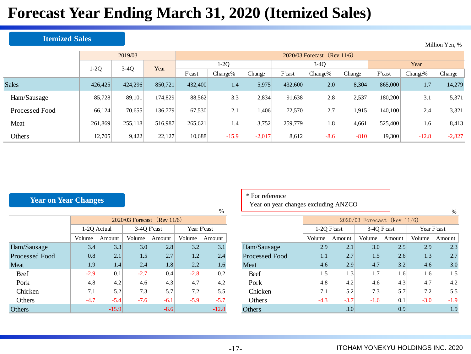## **Forecast Year Ending March 31, 2020 (Itemized Sales)**

#### **Itemized Sales**

|                |         | 2019/03                |         |         | 2020/03 Forecast (Rev $11/6$ ) |          |         |         |        |         |         |          |  |  |  |  |
|----------------|---------|------------------------|---------|---------|--------------------------------|----------|---------|---------|--------|---------|---------|----------|--|--|--|--|
|                |         | $3-4Q$<br>1-2Q<br>Year |         | $1-2Q$  |                                |          |         | $3-4Q$  |        | Year    |         |          |  |  |  |  |
|                |         |                        |         | F'cast  | Change%                        | Change   | F'cast  | Change% | Change | F'cast  | Change% | Change   |  |  |  |  |
| <b>Sales</b>   | 426,425 | 424,296                | 850.721 | 432,400 | 1.4                            | 5,975    | 432,600 | 2.0     | 8,304  | 865,000 | 1.7     | 14,279   |  |  |  |  |
| Ham/Sausage    | 85,728  | 89,101                 | 174,829 | 88,562  | 3.3                            | 2,834    | 91,638  | 2.8     | 2,537  | 180,200 | 3.1     | 5,371    |  |  |  |  |
| Processed Food | 66,124  | 70,655                 | 136,779 | 67,530  | 2.1                            | ,406     | 72,570  | 2.7     | 1,915  | 140,100 | 2.4     | 3,321    |  |  |  |  |
| Meat           | 261,869 | 255,118                | 516,987 | 265,621 | 1.4                            | 3,752    | 259,779 | 1.8     | 4,661  | 525,400 | 1.6     | 8,413    |  |  |  |  |
| Others         | 12,705  | 9,422                  | 22,127  | 10,688  | $-15.9$                        | $-2,017$ | 8,612   | $-8.6$  | $-810$ | 19,300  | $-12.8$ | $-2,827$ |  |  |  |  |

#### **Year on Year Changes**

|                       |             |                               |             |        |        | $\overline{\phantom{a}}$ |  |  |  |  |  |  |  |
|-----------------------|-------------|-------------------------------|-------------|--------|--------|--------------------------|--|--|--|--|--|--|--|
|                       |             | $2020/03$ Forecast (Rev 11/6) |             |        |        |                          |  |  |  |  |  |  |  |
|                       | 1-2Q Actual |                               | Year F'cast |        |        |                          |  |  |  |  |  |  |  |
|                       | Volume      | Amount                        | Volume      | Amount | Volume | Amount                   |  |  |  |  |  |  |  |
| Ham/Sausage           | 3.4         | 3.3                           | 3.0         | 2.8    | 3.2    | 3.1                      |  |  |  |  |  |  |  |
| <b>Processed Food</b> | 0.8         | 2.1                           | 1.5         | 2.7    | 1.2    | 2.4                      |  |  |  |  |  |  |  |
| Meat                  | 1.9         | 1.4                           | 2.4         | 1.8    | 2.2    | 1.6                      |  |  |  |  |  |  |  |
| Beef                  | $-2.9$      | 0.1                           | $-2.7$      | 0.4    | $-2.8$ | 0.2                      |  |  |  |  |  |  |  |
| Pork                  | 4.8         | 4.2                           | 4.6         | 4.3    | 4.7    | 4.2                      |  |  |  |  |  |  |  |
| Chicken               | 7.1         | 5.2                           | 7.3         | 5.7    | 7.2    | 5.5                      |  |  |  |  |  |  |  |
| <b>Others</b>         | $-4.7$      | $-5.4$                        | $-7.6$      | $-6.1$ | $-5.9$ | $-5.7$                   |  |  |  |  |  |  |  |
| <b>Others</b>         |             | $-15.9$                       |             | $-8.6$ |        | $-12.8$                  |  |  |  |  |  |  |  |

| * For reference |  |
|-----------------|--|
|-----------------|--|

Year on year changes excluding ANZCO

|                       |             |                               |             |        |             | $\%$   |  |  |  |  |  |
|-----------------------|-------------|-------------------------------|-------------|--------|-------------|--------|--|--|--|--|--|
|                       |             | $2020/03$ Forecast (Rev 11/6) |             |        |             |        |  |  |  |  |  |
|                       | 1-2Q F'cast |                               | 3-4Q F'cast |        | Year F'cast |        |  |  |  |  |  |
|                       | Volume      | Amount                        | Volume      | Amount | Volume      | Amount |  |  |  |  |  |
| Ham/Sausage           | 2.9         | 2.1                           | 3.0         | 2.5    | 2.9         | 2.3    |  |  |  |  |  |
| <b>Processed Food</b> | 1.1         | 2.7                           | 1.5         | 2.6    | 1.3         | 2.7    |  |  |  |  |  |
| Meat                  | 4.6         | 2.9                           | 4.7         | 3.2    | 4.6         | 3.0    |  |  |  |  |  |
| Beef                  | 1.5         | 1.3                           | 1.7         | 1.6    | 1.6         | 1.5    |  |  |  |  |  |
| Pork                  | 4.8         | 4.2                           | 4.6         | 4.3    | 4.7         | 4.2    |  |  |  |  |  |
| Chicken               | 7.1         | 5.2                           | 7.3         | 5.7    | 7.2         | 5.5    |  |  |  |  |  |
| <b>Others</b>         | $-4.3$      | $-3.7$                        | $-1.6$      | 0.1    | $-3.0$      | $-1.9$ |  |  |  |  |  |
| Others                |             | 3.0                           |             | 0.9    |             | 1.9    |  |  |  |  |  |

ITOHAM YONEKYU HOLDINGS INC. 2020

Million Yen, %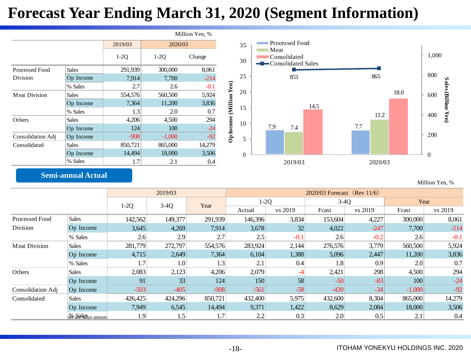### **Forecast Year Ending March 31, 2020 (Segment Information)**

|                      |              |         |                  | Million Yen, % |               |          |  |  |
|----------------------|--------------|---------|------------------|----------------|---------------|----------|--|--|
|                      |              | 2019/03 | 2020/03          |                |               |          |  |  |
|                      |              | $1-2Q$  | $1-2Q$<br>Change |                |               | 30       |  |  |
| Processed Food       | <b>Sales</b> | 291,939 | 300,000          | 8,061          |               |          |  |  |
| Division             | Op Income    | 7,914   | 7,700            | $-214$         |               | 25       |  |  |
|                      | % Sales      | 2.7     | 2.6              | $-0.1$         |               |          |  |  |
| <b>Meat Division</b> | <b>Sales</b> | 554,576 | 560,500          | 5,924          | (Million Yen) | 20       |  |  |
|                      | Op Income    | 7,364   | 11,200           | 3,836          |               |          |  |  |
|                      | % Sales      | 1.3     | 2.0              | 0.7            |               | 15       |  |  |
| Others               | <b>Sales</b> | 4,206   | 4,500            | 294            |               | 10       |  |  |
|                      | Op Income    | 124     | 100              | $-24$          |               |          |  |  |
| Consolidation Adj    | Op Income    | $-908$  | $-1,000$         | $-92$          | Op Income     | 5        |  |  |
| Consolidated         | <b>Sales</b> | 850,721 | 865,000          | 14,279         |               |          |  |  |
|                      | Op Income    | 14,494  | 18,000           | 3,506          |               | $\Omega$ |  |  |
|                      | % Sales      | 1.7     | 2.1              | 0.4            |               |          |  |  |



### **Semi-annual Actual**

Million Yen, %

|                      |                             |         | 2019/03          |         | 2020/03 Forecast (Rev 11/6) |         |         |                  |          |         |  |  |
|----------------------|-----------------------------|---------|------------------|---------|-----------------------------|---------|---------|------------------|----------|---------|--|--|
|                      |                             | $1-2Q$  | $3-4Q$           | Year    | $1-2Q$                      |         | $3-4Q$  |                  | Year     |         |  |  |
|                      |                             |         |                  |         | Actual                      | vs 2019 | Fcast   | vs 2019          | Fcast    | vs 2019 |  |  |
| Processed Food       | <b>Sales</b>                | 142,562 | 149,377          | 291,939 | 146,396                     | 3,834   | 153,604 | 4,227            | 300,000  | 8,061   |  |  |
| <b>Division</b>      | Op Income                   | 3,645   | 4,269            | 7,914   | 3,678                       | 32      | 4,022   | $-247$           | 7,700    | $-214$  |  |  |
|                      | % Sales                     | 2.6     | 2.9              | 2.7     | 2.5                         | $-0.1$  | 2.6     | $-0.2$           | 2.6      | $-0.1$  |  |  |
| <b>Meat Division</b> | <b>Sales</b>                | 281,779 | 272,797          | 554,576 | 283,924                     | 2,144   | 276,576 | 3,779            | 560,500  | 5,924   |  |  |
|                      | Op Income                   | 4,715   | 2,649            | 7,364   | 6,104                       | 1,388   | 5,096   | 2,447            | 11,200   | 3,836   |  |  |
|                      | % Sales                     | 1.7     | 1.0 <sub>l</sub> | 1.3     | 2.1                         | 0.4     | 1.8     | 0.9 <sub>l</sub> | 2.0      | 0.7     |  |  |
| Others               | <b>Sales</b>                | 2,083   | 2,123            | 4,206   | 2,079                       |         | 2,421   | 298              | 4,500    | 294     |  |  |
|                      | Op Income                   | 91      | 33               | 124     | 150                         | 58      | $-50$   | $-83$            | 100      | $-24$   |  |  |
| Consolidation Adj    | Op Income                   | $-503$  | $-405$           | $-908$  | $-561$                      | $-58$   | $-439$  | $-34$            | $-1,000$ | $-92$   |  |  |
| Consolidated         | <b>Sales</b>                | 426,425 | 424,296          | 850,721 | 432,400                     | 5,975   | 432,600 | 8,304            | 865,000  | 14,279  |  |  |
|                      | Op Income                   | 7,949   | 6,545            | 14,494  | 9,371                       | 1,422   | 8,629   | 2,084            | 18,000   | 3,506   |  |  |
|                      | <sub>21</sub> % Sales amour | 1.9     | 1.5              | 1.7     | 2.2                         | 0.3     | 2.0     | 0.5              | 2.1      | 0.4     |  |  |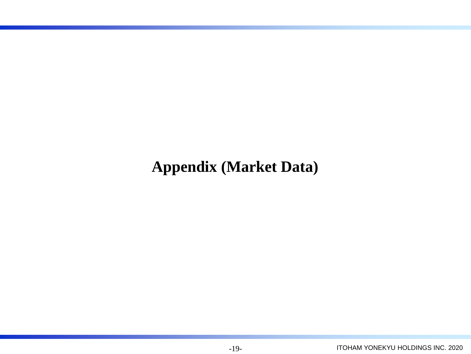## **Appendix (Market Data)**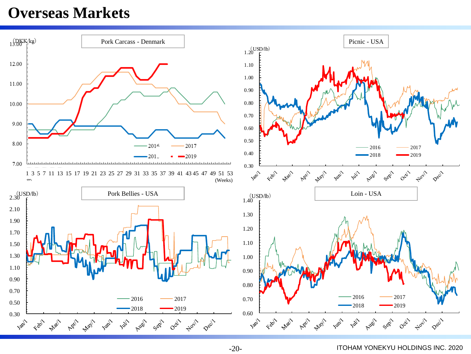### **Overseas Markets**



-20-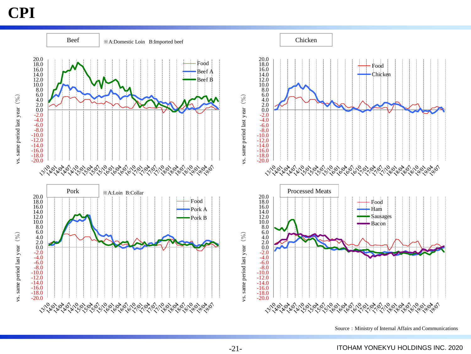### **CPI**



Source: Ministry of Internal Affairs and Communications

-21-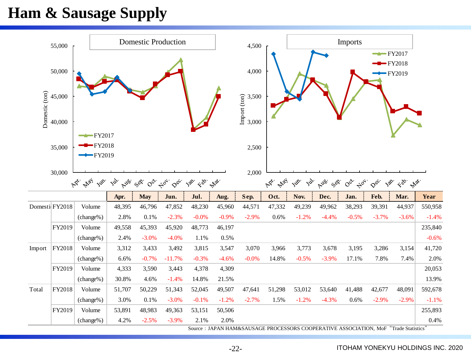### **Ham & Sausage Supply**

|                | 55,000         |                                     |           |                 | <b>Domestic Production</b> |                                                                      |         | 4,500                 |             |                     |                | <b>Imports</b>                       |                                     |                                            |         |
|----------------|----------------|-------------------------------------|-----------|-----------------|----------------------------|----------------------------------------------------------------------|---------|-----------------------|-------------|---------------------|----------------|--------------------------------------|-------------------------------------|--------------------------------------------|---------|
|                | 50,000         |                                     |           |                 |                            |                                                                      |         | 4,000                 |             |                     |                |                                      | $\rightarrow$ FY2017                | $-FY2018$<br>$-FY2019$                     |         |
|                | 45,000         |                                     |           |                 |                            |                                                                      |         | 3,500                 |             |                     |                |                                      |                                     |                                            |         |
| Domestic (ton) | 40,000         |                                     |           |                 |                            |                                                                      |         | Import (ton)<br>3,000 |             |                     |                |                                      |                                     |                                            |         |
|                | 35,000         | $-FY2017$<br>$-FY2018$<br>$-FY2019$ |           |                 |                            |                                                                      |         | 2,500                 |             |                     |                |                                      |                                     |                                            |         |
|                | 30,000         | May Jup.<br>ARY.                    | <b>By</b> | Auss. Cor. For. | $\varphi$ cc.              | $3^{2^{2}}$<br>$\mathcal{L}_{\text{SD}}$ , $\mathcal{L}_{\text{VP}}$ |         | 2,000                 | May<br>Agi. | Jos.<br><b>Inc.</b> | Auer<br>, 200. | $\circ^{\circ}$<br>$\Leftrightarrow$ | Jap.<br>$\mathcal{S}^{\mathcal{C}}$ | $\mathcal{L}_{\mathcal{D}}$<br><b>Max.</b> |         |
|                |                |                                     | Apr.      | <b>May</b>      | Jun.                       | Jul.                                                                 | Aug.    | Sep.                  | Oct.        | Nov.                | Dec.           | Jan.                                 | Feb.                                | Mar.                                       | Year    |
|                | Domesti FY2018 | Volume                              | 48,395    | 46,796          | 47,852                     | 48,230                                                               | 45,960  | 44,571                | 47,332      | 49,239              | 49,962         | 38,293                               | 39,391                              | 44,937                                     | 550,958 |
|                |                | (change%)                           | 2.8%      | 0.1%            | $-2.3%$                    | $-0.0%$                                                              | $-0.9%$ | $-2.9%$               | 0.6%        | $-1.2%$             | $-4.4%$        | $-0.5%$                              | $-3.7%$                             | $-3.6%$                                    | $-1.4%$ |
|                | FY2019         | Volume                              | 49,558    | 45,393          | 45,920                     | 48,773                                                               | 46,197  |                       |             |                     |                |                                      |                                     |                                            | 235,840 |
|                |                | (change%)                           | 2.4%      | $-3.0%$         | $-4.0%$                    | 1.1%                                                                 | 0.5%    |                       |             |                     |                |                                      |                                     |                                            | $-0.6%$ |
| Import         | FY2018         | Volume                              | 3,312     | 3,433           | 3,492                      | 3,815                                                                | 3,547   | 3,070                 | 3,966       | 3,773               | 3,678          | 3,195                                | 3,286                               | 3,154                                      | 41,720  |
|                |                | (change%)                           | 6.6%      | $-0.7%$         | $-11.7%$                   | $-0.3%$                                                              | $-4.6%$ | $-0.0%$               | 14.8%       | $-0.5%$             | $-3.9%$        | 17.1%                                | 7.8%                                | 7.4%                                       | 2.0%    |
|                | FY2019         | Volume                              | 4,333     | 3,590           | 3,443                      | 4,378                                                                | 4,309   |                       |             |                     |                |                                      |                                     |                                            | 20,053  |
|                |                | (change%)                           | 30.8%     | 4.6%            | $-1.4%$                    | 14.8%                                                                | 21.5%   |                       |             |                     |                |                                      |                                     |                                            | 13.9%   |
| Total          | FY2018         | Volume                              | 51,707    | 50,229          | 51,343                     | 52,045                                                               | 49,507  | 47,641                | 51,298      | 53,012              | 53,640         | 41,488                               | 42,677                              | 48,091                                     | 592,678 |
|                |                | (change%)                           | 3.0%      | 0.1%            | $-3.0%$                    | $-0.1%$                                                              | $-1.2%$ | $-2.7%$               | 1.5%        | $-1.2%$             | $-4.3%$        | 0.6%                                 | $-2.9%$                             | $-2.9%$                                    | $-1.1%$ |
|                | FY2019         | Volume                              | 53,891    | 48,983          | 49,363                     | 53,151                                                               | 50,506  |                       |             |                     |                |                                      |                                     |                                            | 255,893 |
|                |                |                                     |           |                 |                            |                                                                      |         |                       |             |                     |                |                                      |                                     |                                            |         |

-22-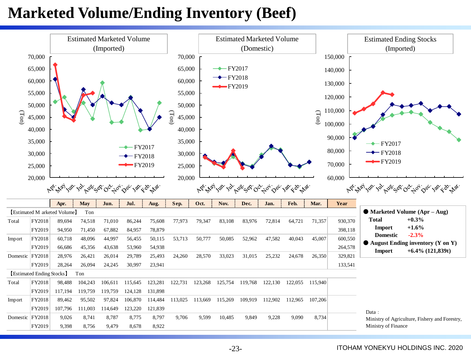### **Marketed Volume/Ending Inventory (Beef)**



-23-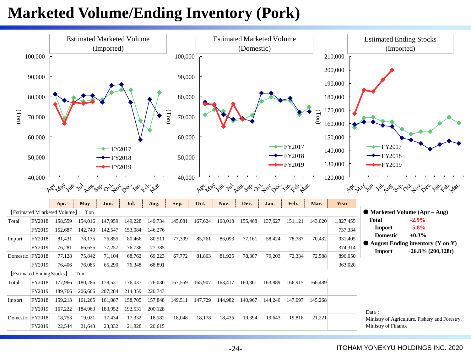### **Marketed Volume/Ending Inventory (Pork)**

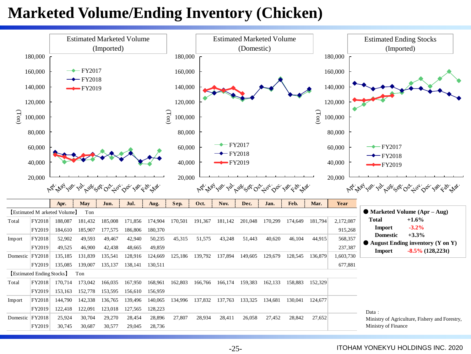### **Marketed Volume/Ending Inventory (Chicken)**